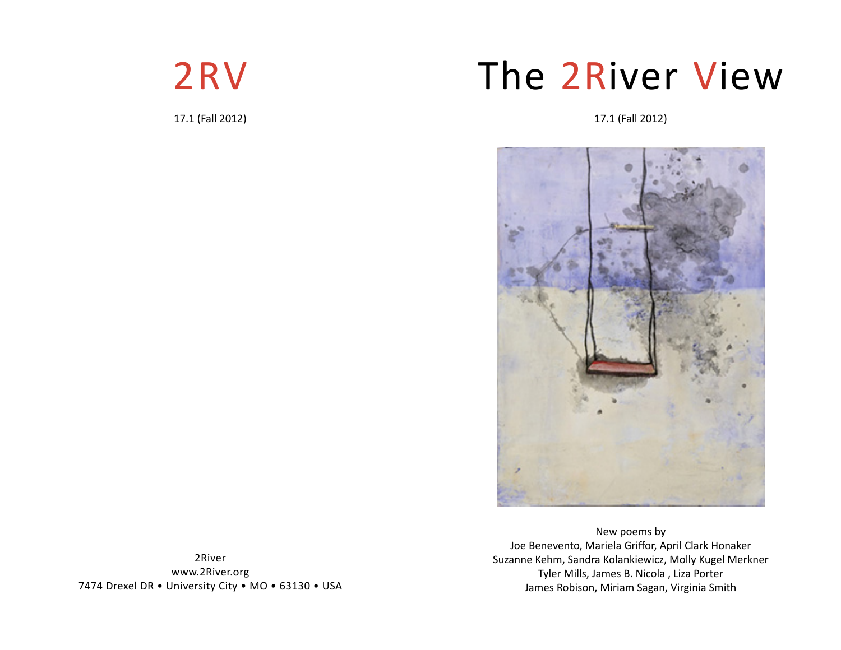

17.1 (Fall 2012)

# The 2River View

17.1 (Fall 2012)



New poems by Joe Benevento, Mariela Griffor, April Clark Honaker Suzanne Kehm, Sandra Kolankiewicz, Molly Kugel Merkner Tyler Mills, James B. Nicola , Liza Porter James Robison, Miriam Sagan, Virginia Smith

2River www.2River.org 7474 Drexel DR • University City • MO • 63130 • USA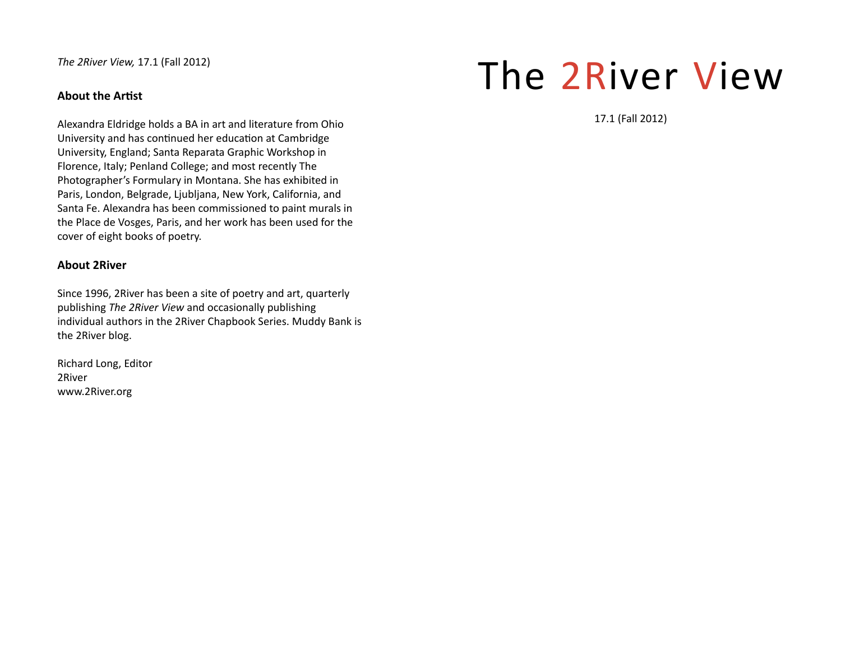*The 2River View,* 17.1 (Fall 2012)

# **About the Artist**

Alexandra Eldridge holds a BA in art and literature from Ohio University and has continued her education at Cambridge University, England; Santa Reparata Graphic Workshop in Florence, Italy; Penland College; and most recently The Photographer's Formulary in Montana. She has exhibited in Paris, London, Belgrade, Ljubljana, New York, California, and Santa Fe. Alexandra has been commissioned to paint murals in the Place de Vosges, Paris, and her work has been used for the cover of eight books of poetry.

# **About 2River**

Since 1996, 2River has been a site of poetry and art, quarterly publishing *The 2River View* and occasionally publishing individual authors in the 2River Chapbook Series. Muddy Bank is the 2River blog.

Richard Long, Editor 2Riverwww.2River.org

# The 2River View

17.1 (Fall 2012)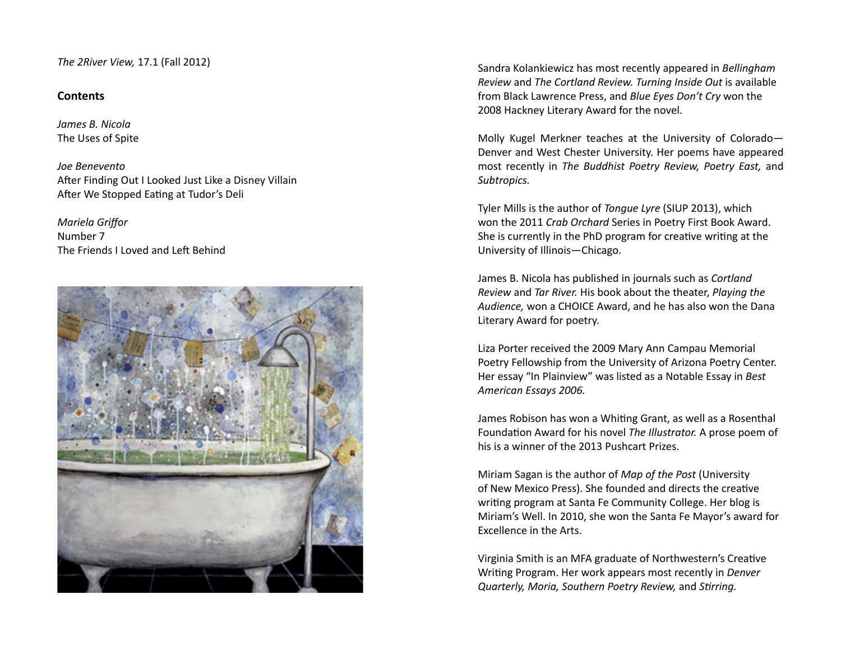*The 2River View,* 17.1 (Fall 2012)

# **Contents**

*James B. Nicola*The Uses of Spite

*Joe Benevento*After Finding Out I Looked Just Like a Disney Villain After We Stopped Eating at Tudor's Deli

*Mariela Griffor* Number 7The Friends LLoved and Left Behind



Sandra Kolankiewicz has most recently appeared in *Bellingham Review* and *The Cortland Review. Turning Inside Out* is available from Black Lawrence Press, and *Blue Eyes Don't Cry* won the 2008 Hackney Literary Award for the novel.

Molly Kugel Merkner teaches at the University of Colorado— Denver and West Chester University. Her poems have appeared most recently in *The Buddhist Poetry Review, Poetry East,* and *Subtropics.*

Tyler Mills is the author of *Tongue Lyre* (SIUP 2013), which won the 2011 *Crab Orchard* Series in Poetry First Book Award. She is currently in the PhD program for creative writing at the University of Illinois—Chicago.

James B. Nicola has published in journals such as *Cortland Review* and *Tar River.* His book about the theater, *Playing the Audience,* won a CHOICE Award, and he has also won the Dana Literary Award for poetry.

Liza Porter received the 2009 Mary Ann Campau Memorial Poetry Fellowship from the University of Arizona Poetry Center. Her essay "In Plainview" was listed as a Notable Essay in *Best American Essays 2006.*

James Robison has won a Whiting Grant, as well as a Rosenthal FoundaƟ on Award for his novel *The Illustrator.* A prose poem of his is a winner of the 2013 Pushcart Prizes.

Miriam Sagan is the author of *Map of the Post* (University of New Mexico Press). She founded and directs the creative writing program at Santa Fe Community College. Her blog is Miriam's Well. In 2010, she won the Santa Fe Mayor's award for Excellence in the Arts.

Virginia Smith is an MFA graduate of Northwestern's Creative Writing Program. Her work appears most recently in *Denver Quarterly, Moria, Southern Poetry Review, and Stirring.*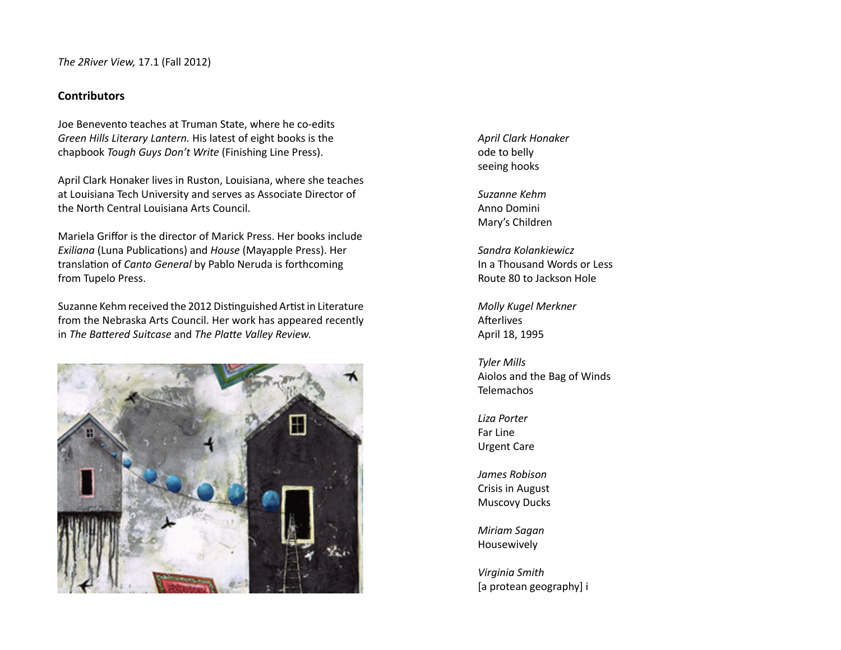# **Contributors**

Joe Benevento teaches at Truman State, where he co-edits *Green Hills Literary Lantern.* His latest of eight books is the chapbook *Tough Guys Don't Write* (Finishing Line Press).

April Clark Honaker lives in Ruston, Louisiana, where she teaches at Louisiana Tech University and serves as Associate Director of the North Central Louisiana Arts Council.

Mariela Griffor is the director of Marick Press. Her books include *Exiliana* (Luna Publications) and *House* (Mayapple Press). Her translation of *Canto General* by Pablo Neruda is forthcoming from Tupelo Press.

Suzanne Kehm received the 2012 Distinguished Artist in Literature from the Nebraska Arts Council. Her work has appeared recently in *The BaƩ ered Suitcase* and *The PlaƩ e Valley Review.*



*April Clark Honaker* ode to belly seeing hooks

*Suzanne Kehm*Anno DominiMary's Children

*Sandra Kolankiewicz*In a Thousand Words or LessRoute 80 to Jackson Hole

*Molly Kugel Merkner* Afterlives April 18, 1995

*Tyler Mills* Aiolos and the Bag of Winds Telemachos

*Liza Porter*Far LineUrgent Care

*James Robison*Crisis in August Muscovy Ducks

*Miriam Sagan* Housewively

*Virginia Smith* [a protean geography] i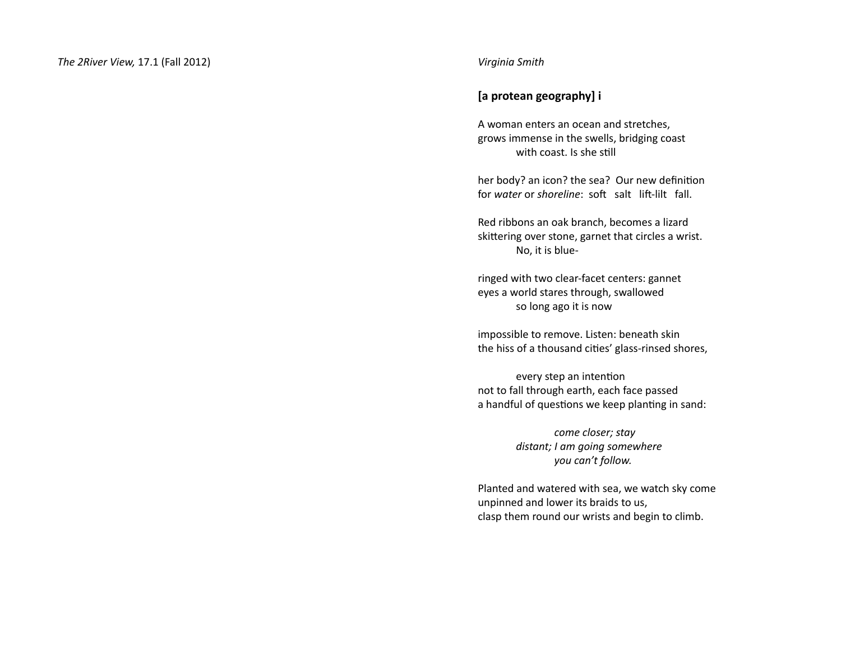# **[a protean geography] i**

A woman enters an ocean and stretches, grows immense in the swells, bridging coast with coast. Is she still

her body? an icon? the sea? Our new definition for *water* or *shoreline*: soft salt lift-lilt fall.

Red ribbons an oak branch, becomes a lizard skittering over stone, garnet that circles a wrist. No, it is blue-

ringed with two clear-facet centers: gannet eyes a world stares through, swallowed so long ago it is now

impossible to remove. Listen: beneath skin the hiss of a thousand cities' glass-rinsed shores,

every step an intention not to fall through earth, each face passed a handful of questions we keep planting in sand:

> *come closer; stay distant; I am going somewhere you can't follow.*

Planted and watered with sea, we watch sky come unpinned and lower its braids to us, clasp them round our wrists and begin to climb.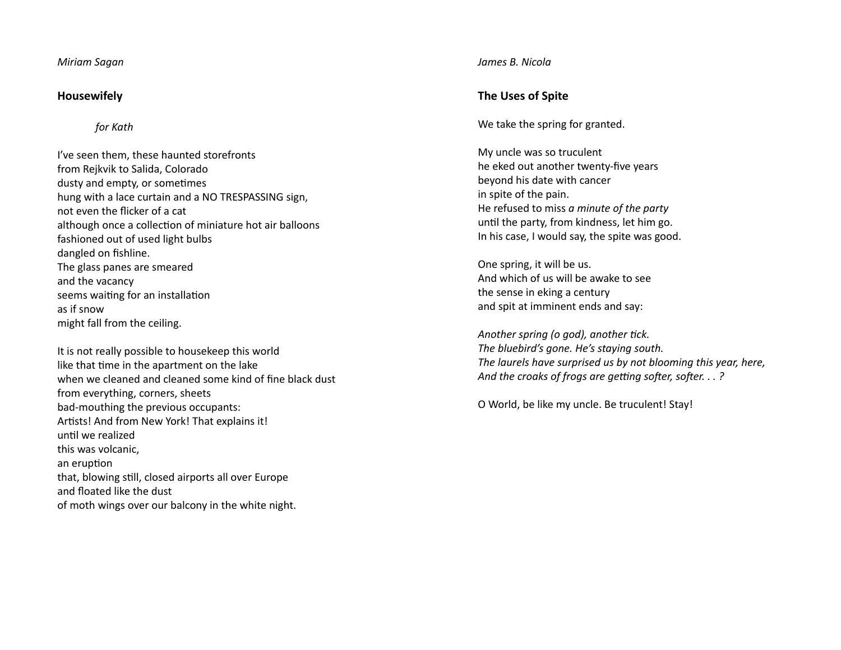*Miriam Sagan*

# **Housewifely**

*for Kath*

- I've seen them, these haunted storefronts from Rejkvik to Salida, Colorado dusty and empty, or sometimes hung with a lace curtain and a NO TRESPASSING sign, not even the flicker of a cat although once a collection of miniature hot air balloons fashioned out of used light bulbs dangled on fishline. The glass panes are smeared and the vacancy seems waiting for an installation as if snowmight fall from the ceiling.
- It is not really possible to housekeep this world like that time in the apartment on the lake when we cleaned and cleaned some kind of fine black dust from everything, corners, sheets bad-mouthing the previous occupants: Artists! And from New York! That explains it! until we realized this was volcanic, an eruption that, blowing still, closed airports all over Europe and floated like the dust of moth wings over our balcony in the white night.

*James B. Nicola*

# **The Uses of Spite**

We take the spring for granted.

My uncle was so truculent he eked out another twenty-five years beyond his date with cancer in spite of the pain. He refused to miss *a minute of the party* until the party, from kindness, let him go. In his case, I would say, the spite was good.

One spring, it will be us. And which of us will be awake to seethe sense in eking a century and spit at imminent ends and say:

*Another spring (o god), another tick. The bluebird's gone. He's staying south. The laurels have surprised us by not blooming this year, here, And the croaks of frogs are getting softer, softer...?* 

O World, be like my uncle. Be truculent! Stay!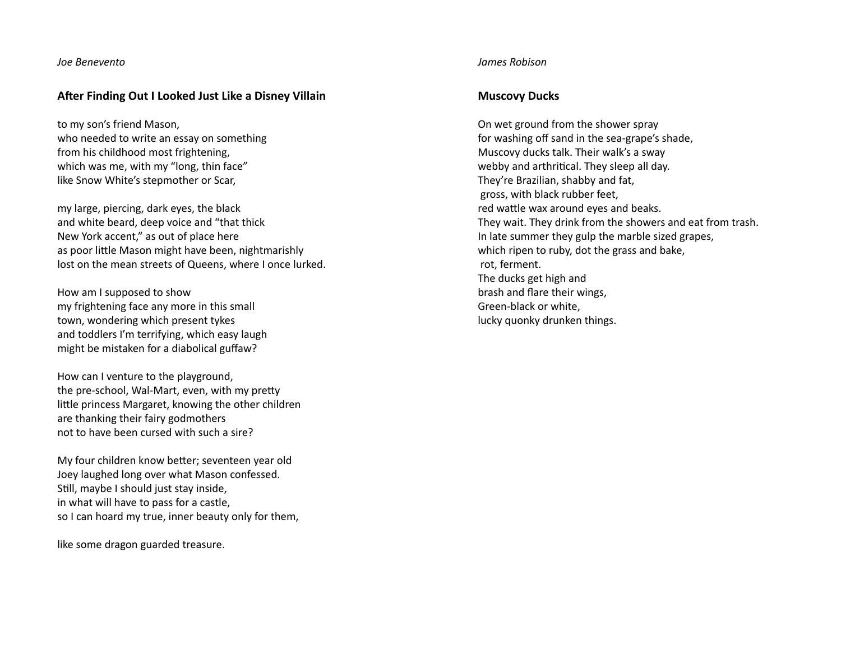#### *Joe Benevento*

# **After Finding Out I Looked Just Like a Disney Villain**

to my son's friend Mason, who needed to write an essay on something from his childhood most frightening, which was me, with my "long, thin face" like Snow White's stepmother or Scar,

my large, piercing, dark eyes, the black and white beard, deep voice and "that thick New York accent," as out of place here as poor little Mason might have been, nightmarishly lost on the mean streets of Queens, where I once lurked.

How am I supposed to show my frightening face any more in this small town, wondering which present tykes and toddlers I'm terrifying, which easy laugh might be mistaken for a diabolical guffaw?

How can I venture to the playground, the pre-school, Wal-Mart, even, with my pretty little princess Margaret, knowing the other children are thanking their fairy godmothers not to have been cursed with such a sire?

My four children know better; seventeen year old Joey laughed long over what Mason confessed. Still, maybe I should just stay inside, in what will have to pass for a castle, so I can hoard my true, inner beauty only for them,

like some dragon guarded treasure.

#### *James Robison*

#### **Muscovy Ducks**

On wet ground from the shower spray for washing off sand in the sea-grape's shade, Muscovy ducks talk. Their walk's a sway webby and arthritical. They sleep all day. They're Brazilian, shabby and fat, gross, with black rubber feet, red wattle wax around eyes and beaks. They wait. They drink from the showers and eat from trash. In late summer they gulp the marble sized grapes, which ripen to ruby, dot the grass and bake, rot, ferment. The ducks get high and brash and flare their wings, Green-black or white, lucky quonky drunken things.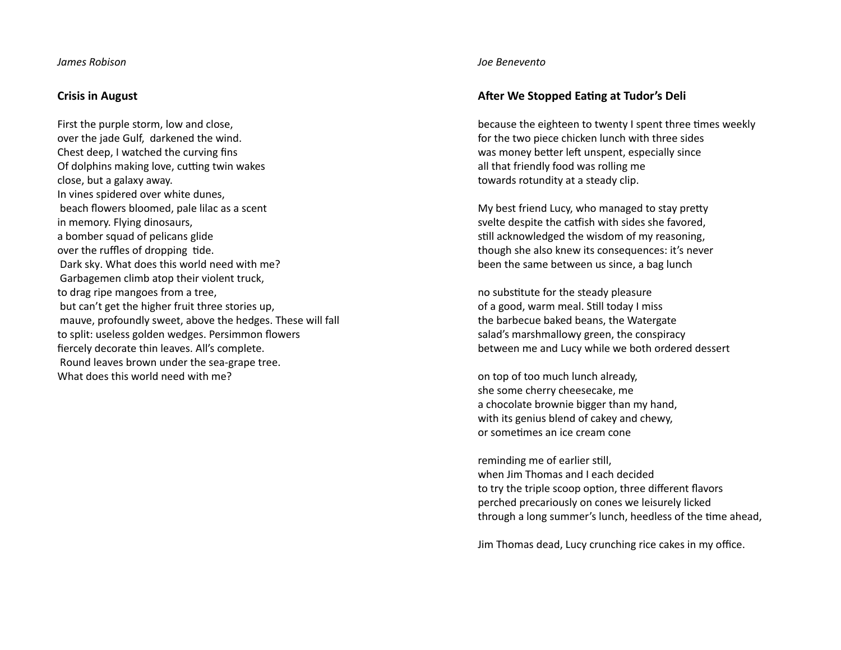#### *James Robison*

#### **Crisis in August**

First the purple storm, low and close, over the jade Gulf, darkened the wind. Chest deep, I watched the curving fins Of dolphins making love, cutting twin wakes close, but a galaxy away. In vines spidered over white dunes, beach flowers bloomed, pale lilac as a scent in memory. Flying dinosaurs, a bomber squad of pelicans glide over the ruffles of dropping tide. Dark sky. What does this world need with me? Garbagemen climb atop their violent truck, to drag ripe mangoes from a tree, but can't get the higher fruit three stories up, mauve, profoundly sweet, above the hedges. These will fall to split: useless golden wedges. Persimmon flowers fiercely decorate thin leaves. All's complete. Round leaves brown under the sea-grape tree. What does this world need with me?

#### *Joe Benevento*

# **After We Stopped Eating at Tudor's Deli**

because the eighteen to twenty I spent three times weekly for the two piece chicken lunch with three sides was money better left unspent, especially since all that friendly food was rolling me towards rotundity at a steady clip.

My best friend Lucy, who managed to stay pretty svelte despite the catfish with sides she favored, still acknowledged the wisdom of my reasoning, though she also knew its consequences: it's never been the same between us since, a bag lunch

no substitute for the steady pleasure of a good, warm meal. Still today I miss the barbecue baked beans, the Watergate salad's marshmallowy green, the conspiracy between me and Lucy while we both ordered dessert

on top of too much lunch already, she some cherry cheesecake, me a chocolate brownie bigger than my hand, with its genius blend of cakey and chewy, or sometimes an ice cream cone

reminding me of earlier still, when Jim Thomas and I each decidedto try the triple scoop option, three different flavors perched precariously on cones we leisurely licked

Jim Thomas dead, Lucy crunching rice cakes in my office.

through a long summer's lunch, heedless of the time ahead,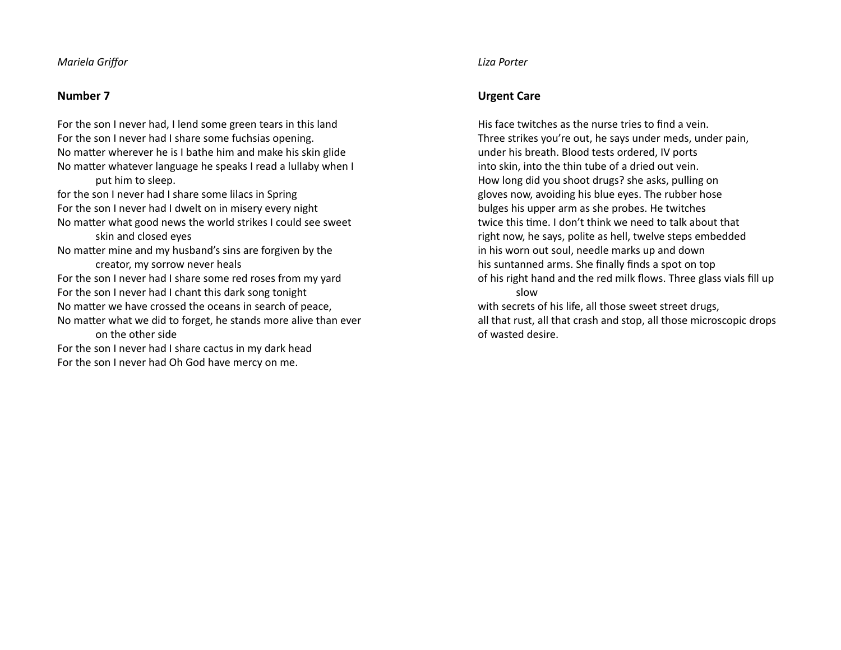# *Mariela Griff or*

# **Number 7**

For the son I never had, I lend some green tears in this land For the son I never had I share some fuchsias opening. No matter wherever he is I bathe him and make his skin glide No matter whatever language he speaks I read a lullaby when I put him to sleep. for the son I never had I share some lilacs in Spring For the son I never had I dwelt on in misery every night No matter what good news the world strikes I could see sweet skin and closed eyes No matter mine and my husband's sins are forgiven by the creator, my sorrow never heals For the son I never had I share some red roses from my yard For the son I never had I chant this dark song tonight No matter we have crossed the oceans in search of peace, No matter what we did to forget, he stands more alive than ever on the other sideFor the son I never had I share cactus in my dark head For the son I never had Oh God have mercy on me.

#### *Liza Porter*

# **Urgent Care**

His face twitches as the nurse tries to find a vein. Three strikes you're out, he says under meds, under pain, under his breath. Blood tests ordered, IV ports into skin, into the thin tube of a dried out vein. How long did you shoot drugs? she asks, pulling on gloves now, avoiding his blue eyes. The rubber hose bulges his upper arm as she probes. He twitches twice this time. I don't think we need to talk about that right now, he says, polite as hell, twelve steps embedded in his worn out soul, needle marks up and down his suntanned arms. She finally finds a spot on top of his right hand and the red milk flows. Three glass vials fill up slow with secrets of his life, all those sweet street drugs,

all that rust, all that crash and stop, all those microscopic drops of wasted desire.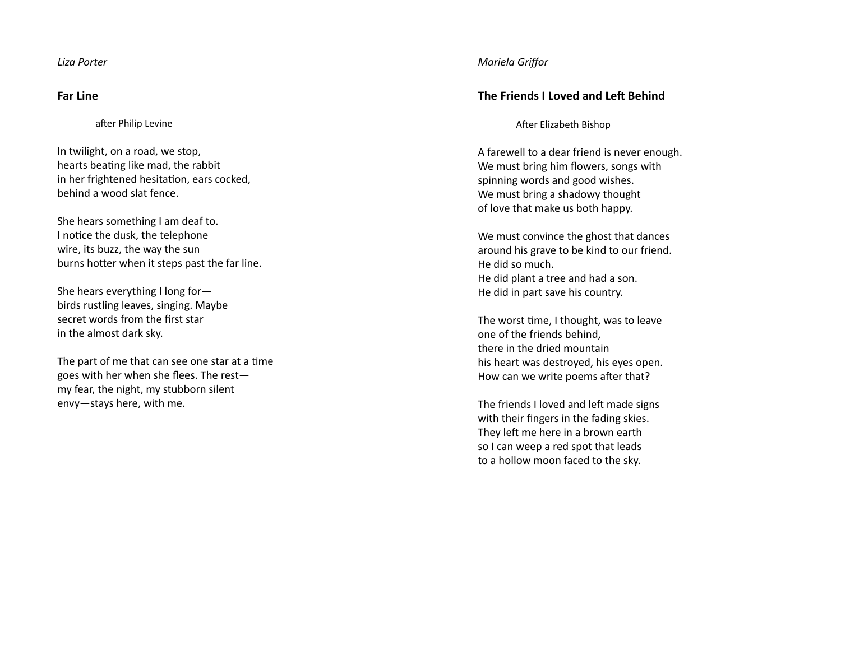*Liza Porter*

# **Far Line**

after Philip Levine

In twilight, on a road, we stop, hearts beating like mad, the rabbit in her frightened hesitation, ears cocked, behind a wood slat fence.

She hears something I am deaf to. I notice the dusk, the telephone wire, its buzz, the way the sun burns hotter when it steps past the far line.

She hears everything I long for birds rustling leaves, singing. Maybe secret words from the first star in the almost dark sky.

The part of me that can see one star at a time goes with her when she flees. The rest my fear, the night, my stubborn silent envy—stays here, with me.

# *Mariela Griff or*

# **The Friends I Loved and LeŌ Behind**

After Elizabeth Bishop

A farewell to a dear friend is never enough. We must bring him flowers, songs with spinning words and good wishes. We must bring a shadowy thought of love that make us both happy.

We must convince the ghost that dances around his grave to be kind to our friend. He did so much. He did plant a tree and had a son. He did in part save his country.

The worst Ɵ me, I thought, was to leave one of the friends behind, there in the dried mountainhis heart was destroyed, his eyes open. How can we write poems after that?

The friends I loved and left made signs with their fi ngers in the fading skies. They left me here in a brown earth so I can weep a red spot that leads to a hollow moon faced to the sky.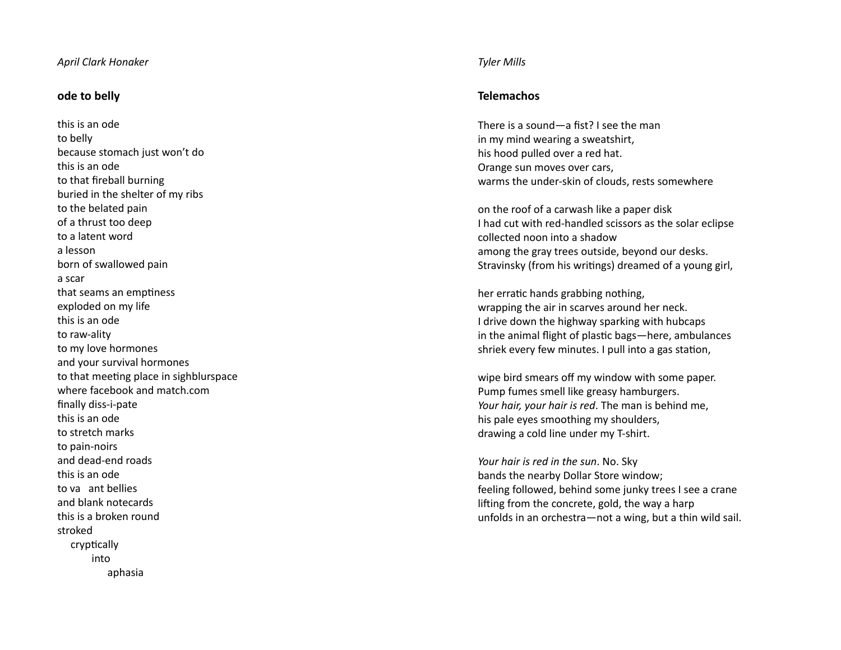#### *April Clark Honaker*

# **ode to belly**

this is an odeto belly because stomach just won't do this is an odeto that fireball burning buried in the shelter of my ribs to the belated pain of a thrust too deep to a latent worda lessonborn of swallowed pain a scarthat seams an emptiness exploded on my life this is an odeto raw-ality to my love hormones and your survival hormones to that meeting place in sighblurspace where facebook and match.comfinally diss-i-pate this is an odeto stretch marksto pain-noirs and dead-end roadsthis is an odeto va ant belliesand blank notecardsthis is a broken roundstrokedcryptically intoaphasia

#### *Tyler Mills*

# **Telemachos**

There is a sound—a fist? I see the man in my mind wearing a sweatshirt, his hood pulled over a red hat. Orange sun moves over cars, warms the under-skin of clouds, rests somewhere

on the roof of a carwash like a paper disk I had cut with red-handled scissors as the solar eclipse collected noon into a shadowamong the gray trees outside, beyond our desks. Stravinsky (from his writings) dreamed of a young girl,

her erratic hands grabbing nothing, wrapping the air in scarves around her neck. I drive down the highway sparking with hubcaps in the animal flight of plastic bags—here, ambulances shriek every few minutes. I pull into a gas station,

wipe bird smears o ff my window with some paper. Pump fumes smell like greasy hamburgers. *Your hair, your hair is red*. The man is behind me, his pale eyes smoothing my shoulders, drawing a cold line under my T-shirt.

*Your hair is red in the sun*. No. Sky bands the nearby Dollar Store window; feeling followed, behind some junky trees I see a crane lifting from the concrete, gold, the way a harp unfolds in an orchestra—not a wing, but a thin wild sail.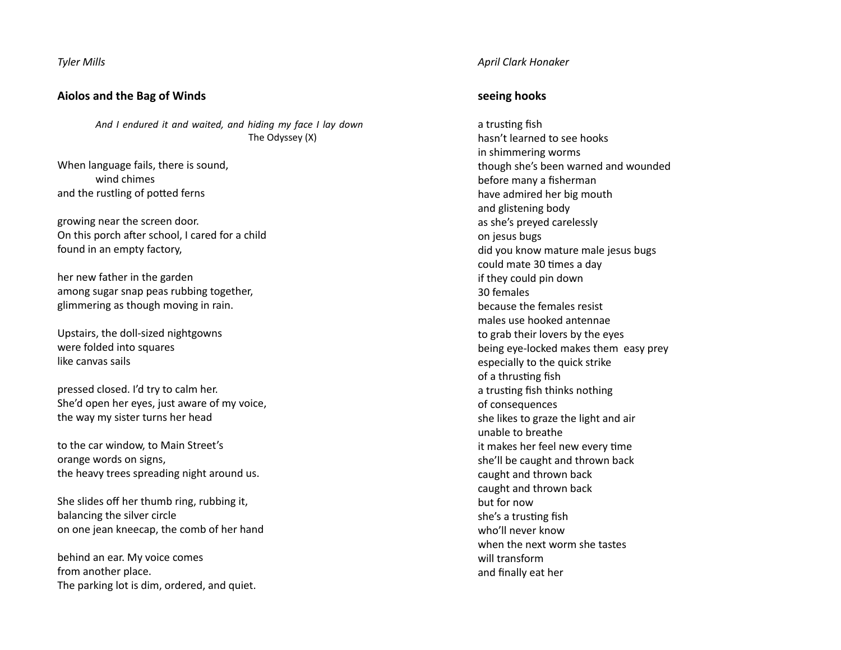*Tyler Mills*

# **Aiolos and the Bag of Winds**

*And I endured it and waited, and hiding my face I lay down* The Odyssey (X)

When language fails, there is sound, wind chimes and the rustling of potted ferns

growing near the screen door. On this porch after school, I cared for a child found in an empty factory,

her new father in the garden among sugar snap peas rubbing together, glimmering as though moving in rain.

Upstairs, the doll-sized nightgowns were folded into squares like canvas sails

pressed closed. I'd try to calm her. She'd open her eyes, just aware of my voice, the way my sister turns her head

to the car window, to Main Street's orange words on signs, the heavy trees spreading night around us.

She slides off her thumb ring, rubbing it, balancing the silver circle on one jean kneecap, the comb of her hand

behind an ear. My voice comes from another place. The parking lot is dim, ordered, and quiet.

#### *April Clark Honaker*

#### **seeing hooks**

a trusting fish hasn't learned to see hooksin shimmering worms though she's been warned and wounded before many a fisherman have admired her big mouth and glistening body as she's preyed carelessly on jesus bugs did you know mature male jesus bugs could mate 30 times a day if they could pin down 30 femalesbecause the females resistmales use hooked antennaeto grab their lovers by the eyes being eye-locked makes them easy prey especially to the quick strike of a thrusting fish a trusting fish thinks nothing of consequences she likes to graze the light and air unable to breatheit makes her feel new every time she'll be caught and thrown back caught and thrown back caught and thrown back but for nowshe's a trusting fish who'll never knowwhen the next worm she tasteswill transformand finally eat her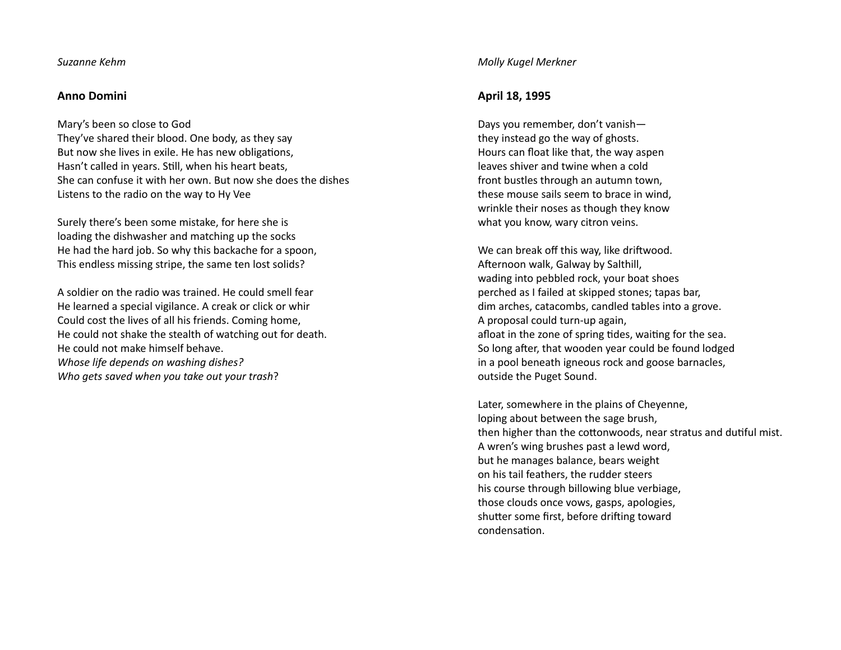#### *Suzanne Kehm*

#### **Anno Domini**

Mary's been so close to God They've shared their blood. One body, as they say But now she lives in exile. He has new obligations, Hasn't called in years. Still, when his heart beats, She can confuse it with her own. But now she does the dishesListens to the radio on the way to Hy Vee

Surely there's been some mistake, for here she is loading the dishwasher and matching up the socks He had the hard job. So why this backache for a spoon, This endless missing stripe, the same ten lost solids?

A soldier on the radio was trained. He could smell fearHe learned a special vigilance. A creak or click or whir Could cost the lives of all his friends. Coming home, He could not shake the stealth of watching out for death. He could not make himself behave. *Whose life depends on washing dishes? Who gets saved when you take out your trash*?

#### *Molly Kugel Merkner*

#### **April 18, 1995**

Days you remember, don't vanish they instead go the way of ghosts. Hours can float like that, the way aspen leaves shiver and twine when a coldfront bustles through an autumn town, these mouse sails seem to brace in wind, wrinkle their noses as though they know what you know, wary citron veins.

We can break off this way, like driftwood. Afternoon walk, Galway by Salthill, wading into pebbled rock, your boat shoes perched as I failed at skipped stones; tapas bar, dim arches, catacombs, candled tables into a grove. A proposal could turn-up again, afloat in the zone of spring tides, waiting for the sea. So long after, that wooden year could be found lodged in a pool beneath igneous rock and goose barnacles, outside the Puget Sound.

Later, somewhere in the plains of Cheyenne, loping about between the sage brush, then higher than the cottonwoods, near stratus and dutiful mist. A wren's wing brushes past a lewd word, but he manages balance, bears weight on his tail feathers, the rudder steers his course through billowing blue verbiage, those clouds once vows, gasps, apologies, shutter some first, before drifting toward condensation.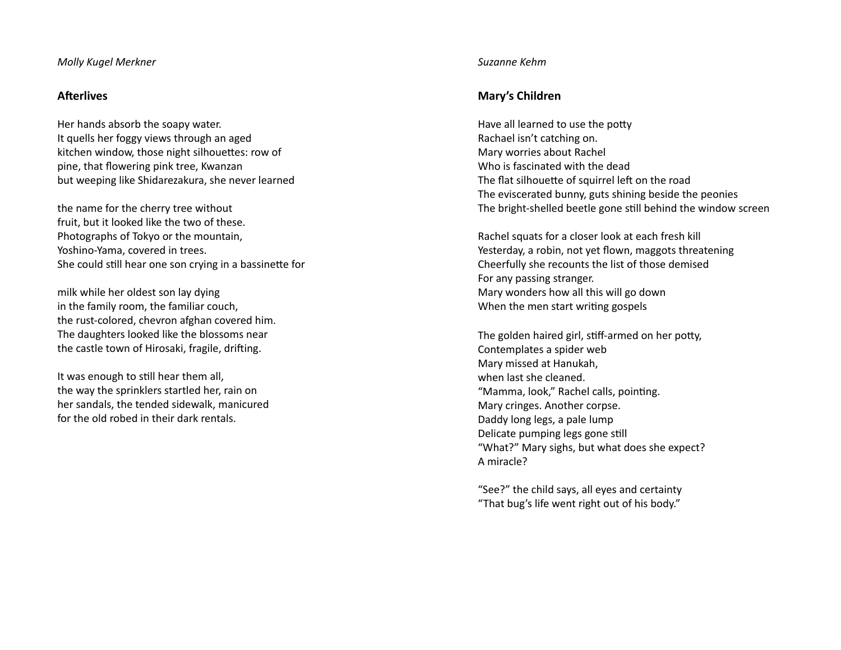#### *Molly Kugel Merkner*

### **Afterlives**

Her hands absorb the soapy water. It quells her foggy views through an aged kitchen window, those night silhouettes: row of pine, that flowering pink tree, Kwanzan but weeping like Shidarezakura, she never learned

the name for the cherry tree without fruit, but it looked like the two of these. Photographs of Tokyo or the mountain, Yoshino-Yama, covered in trees. She could still hear one son crying in a bassinette for

milk while her oldest son lay dying in the family room, the familiar couch, the rust-colored, chevron afghan covered him. The daughters looked like the blossoms near the castle town of Hirosaki, fragile, drifting.

It was enough to still hear them all, the way the sprinklers startled her, rain on her sandals, the tended sidewalk, manicured for the old robed in their dark rentals.

#### *Suzanne Kehm*

# **Mary's Children**

Have all learned to use the potty Rachael isn't catching on. Mary worries about Rachel Who is fascinated with the dead The flat silhouette of squirrel left on the road The eviscerated bunny, guts shining beside the peonies The bright-shelled beetle gone still behind the window screen

Rachel squats for a closer look at each fresh kill Yesterday, a robin, not yet flown, maggots threatening Cheerfully she recounts the list of those demised For any passing stranger. Mary wonders how all this will go down When the men start writing gospels

The golden haired girl, stiff-armed on her potty, Contemplates a spider web Mary missed at Hanukah, when last she cleaned. "Mamma, look," Rachel calls, pointing. Mary cringes. Another corpse. Daddy long legs, a pale lump Delicate pumping legs gone still "What?" Mary sighs, but what does she expect? A miracle?

"See?" the child says, all eyes and certainty "That bug's life went right out of his body."